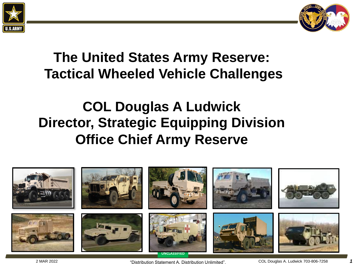



# **The United States Army Reserve: Tactical Wheeled Vehicle Challenges**

# **COL Douglas A Ludwick Director, Strategic Equipping Division Office Chief Army Reserve**

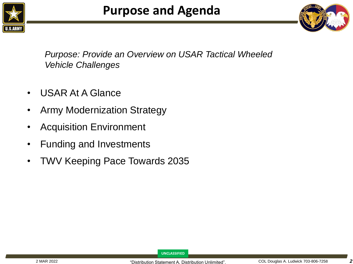



*Purpose: Provide an Overview on USAR Tactical Wheeled Vehicle Challenges*

- USAR At A Glance
- Army Modernization Strategy
- Acquisition Environment
- Funding and Investments
- TWV Keeping Pace Towards 2035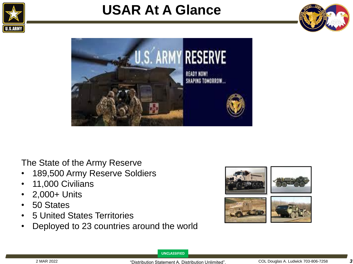

# **USAR At A Glance**





The State of the Army Reserve

- 189,500 Army Reserve Soldiers
- 11,000 Civilians
- 2,000+ Units
- 50 States
- 5 United States Territories
- Deployed to 23 countries around the world

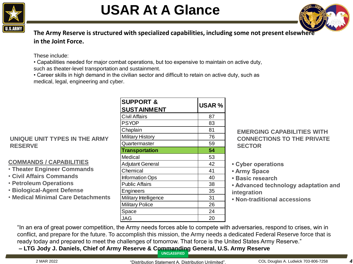

# **USAR At A Glance**



**The Army Reserve is structured with specialized capabilities, including some not present elsewhere in the Joint Force.**

#### These include:

• Capabilities needed for major combat operations, but too expensive to maintain on active duty, such as theater-level transportation and sustainment.

• Career skills in high demand in the civilian sector and difficult to retain on active duty, such as medical, legal, engineering and cyber.

## **UNIQUE UNIT TYPES IN THE ARMY RESERVE**

## **COMMANDS / CAPABILITIES**

- **Theater Engineer Commands**
- **Civil Affairs Commands**
- **Petroleum Operations**
- **Biological-Agent Defense**
- **Medical Minimal Care Detachments**

| <b>SUPPORT &amp;</b>    | <b>USAR %</b> |
|-------------------------|---------------|
| <b>SUSTAINMENT</b>      |               |
| <b>Civil Affairs</b>    | 87            |
| <b>PSYOP</b>            | 83            |
| Chaplain                | 81            |
| <b>Military History</b> | 76            |
| Quartermaster           | 59            |
| <b>Transportation</b>   | 54            |
| Medical                 | 53            |
| <b>Adjutant General</b> | 42            |
| Chemical                | 41            |
| Information Ops         | 40            |
| <b>Public Affairs</b>   | 38            |
| Engineers               | 35            |
| Military Intelligence   | 31            |
| <b>Military Police</b>  | 26            |
| Space                   | 24            |
| JAG                     | 20            |

## **EMERGING CAPABILITIES WITH CONNECTIONS TO THE PRIVATE SECTOR**

- **Cyber operations**
- **Army Space**
- **Basic research**
- **Advanced technology adaptation and integration**
- **Non-traditional accessions**

"In an era of great power competition, the Army needs forces able to compete with adversaries, respond to crises, win in conflict, and prepare for the future. To accomplish this mission, the Army needs a dedicated Federal Reserve force that is ready today and prepared to meet the challenges of tomorrow. That force is the United States Army Reserve."

**UNCLASSIFIED – LTG Jody J. Daniels, Chief of Army Reserve & Commanding General, U.S. Army Reserve**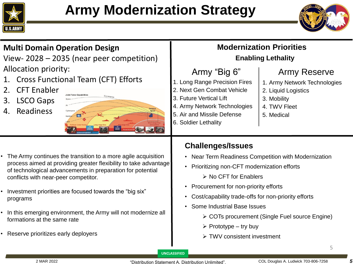



#### 1. Long Range Precision Fires 2. Next Gen Combat Vehicle 3. Future Vertical Lift 4. Army Network Technologies 5. Air and Missile Defense 6. Soldier Lethality **Multi Domain Operation Design**  View- 2028 – 2035 (near peer competition) Allocation priority: 1. Cross Functional Team (CFT) Efforts 2. CFT Enabler 3. LSCO Gaps 4. Readiness **Modernization Priorities** 1. Army Network Technologies 2. Liquid Logistics 3. Mobility 4. TWV Fleet 5. Medical Army "Big 6" | Army Reserve **Enabling Lethality**

- The Army continues the transition to a more agile acquisition process aimed at providing greater flexibility to take advantage of technological advancements in preparation for potential conflicts with near-peer competitor.
- Investment priorities are focused towards the "big six" programs
- In this emerging environment, the Army will not modernize all formations at the same rate
- Reserve prioritizes early deployers

## **Challenges/Issues**

- Near Term Readiness Competition with Modernization
- Prioritizing non-CFT modernization efforts

➢ No CFT for Enablers

- Procurement for non-priority efforts
- Cost/capability trade-offs for non-priority efforts
- Some Industrial Base Issues
	- ➢ COTs procurement (Single Fuel source Engine)
	- $\triangleright$  Prototype try buy
	- ➢ TWV consistent investment

**UNCLASSIFIED**

5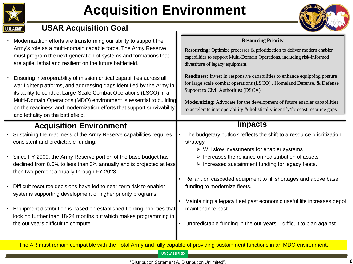

# **Acquisition Environment**



## **USAR Acquisition Goal**

- Modernization efforts are transforming our ability to support the Army's role as a multi-domain capable force. The Army Reserve must program the next generation of systems and formations that are agile, lethal and resilient on the future battlefield.
- Ensuring interoperability of mission critical capabilities across all war fighter platforms, and addressing gaps identified by the Army in its ability to conduct Large-Scale Combat Operations (LSCO) in a Multi-Domain Operations (MDO) environment is essential to building on the readiness and modernization efforts that support survivability and lethality on the battlefield.

## **Acquisition Environment**

- Sustaining the readiness of the Army Reserve capabilities requires consistent and predictable funding.
- Since FY 2009, the Army Reserve portion of the base budget has declined from 8.6% to less than 3% annually and is projected at less then two percent annually through FY 2023.
- Difficult resource decisions have led to near-term risk to enabler systems supporting development of higher priority programs.
- Equipment distribution is based on established fielding priorities that look no further than 18-24 months out which makes programming in the out years difficult to compute.

#### **Resourcing Priority**

**Resourcing:** Optimize processes & prioritization to deliver modern enabler capabilities to support Multi-Domain Operations, including risk-informed divestiture of legacy equipment.

**Readiness:** Invest in responsive capabilities to enhance equipping posture for large scale combat operations (LSCO) , Homeland Defense, & Defense Support to Civil Authorities (DSCA)

**Modernizing:** Advocate for the development of future enabler capabilities to accelerate interoperability & holistically identify/forecast resource gaps.

## **Impacts**

- The budgetary outlook reflects the shift to a resource prioritization strategy
	- ➢ Will slow investments for enabler systems
	- ➢ Increases the reliance on redistribution of assets
	- $\triangleright$  Increased sustainment funding for legacy fleets.
- Reliant on cascaded equipment to fill shortages and above base funding to modernize fleets.
- Maintaining a legacy fleet past economic useful life increases depot maintenance cost
- Unpredictable funding in the out-years difficult to plan against

The AR must remain compatible with the Total Army and fully capable of providing sustainment functions in an MDO environment.

**UNCLASSIFIED**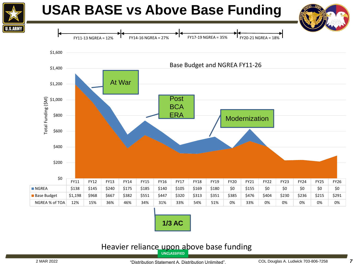

## **USAR BASE vs Above Base Funding**



#### **UNCLASSIFIED** Heavier reliance upon above base funding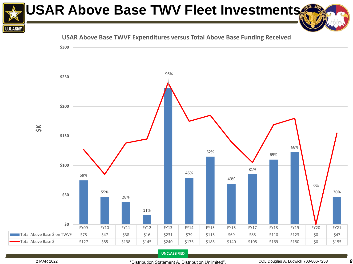# **USAR Above Base TWV Fleet Investments**

**USAR Above Base TWVF Expenditures versus Total Above Base Funding Received**



**UNCLASSIFIED**

**U.S.ARMY**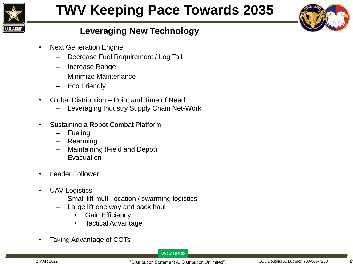

# **TWV Keeping Pace Towards 2035**



## **Leveraging New Technology**

- Next Generation Engine
	- ‒ Decrease Fuel Requirement / Log Tail
	- ‒ Increase Range
	- ‒ Minimize Maintenance
	- ‒ Eco Friendly
- Global Distribution Point and Time of Need
	- ‒ Leveraging Industry Supply Chain Net-Work
- Sustaining a Robot Combat Platform
	- **Fueling**
	- **Rearming**
	- ‒ Maintaining (Field and Depot)
	- **Evacuation**
- Leader Follower
- UAV Logistics
	- Small lift multi-location / swarming logistics
	- Large lift one way and back haul
		- **Gain Efficiency**
		- Tactical Advantage
- Taking Advantage of COTs

**UNCLASSIFIED**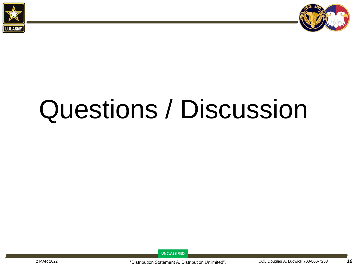



# Questions / Discussion

**UNCLASSIFIED**